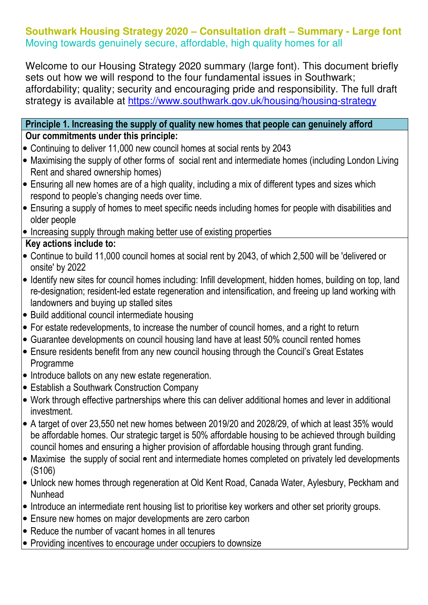### **Southwark Housing Strategy 2020 – Consultation draft – Summary - Large font**  Moving towards genuinely secure, affordable, high quality homes for all

Welcome to our Housing Strategy 2020 summary (large font). This document briefly sets out how we will respond to the four fundamental issues in Southwark; affordability; quality; security and encouraging pride and responsibility. The full draft strategy is available at https://www.southwark.gov.uk/housing/housing-strategy

#### Principle 1. Increasing the supply of quality new homes that people can genuinely afford Our commitments under this principle:

- Continuing to deliver 11,000 new council homes at social rents by 2043
- Maximising the supply of other forms of social rent and intermediate homes (including London Living Rent and shared ownership homes)
- Ensuring all new homes are of a high quality, including a mix of different types and sizes which respond to people's changing needs over time.
- Ensuring a supply of homes to meet specific needs including homes for people with disabilities and older people
- Increasing supply through making better use of existing properties

# Key actions include to:

- Continue to build 11,000 council homes at social rent by 2043, of which 2,500 will be 'delivered or onsite' by 2022
- Identify new sites for council homes including: Infill development, hidden homes, building on top, land re-designation; resident-led estate regeneration and intensification, and freeing up land working with landowners and buying up stalled sites
- Build additional council intermediate housing
- For estate redevelopments, to increase the number of council homes, and a right to return
- Guarantee developments on council housing land have at least 50% council rented homes
- Ensure residents benefit from any new council housing through the Council's Great Estates Programme
- Introduce ballots on any new estate regeneration.
- Establish a Southwark Construction Company
- Work through effective partnerships where this can deliver additional homes and lever in additional investment.
- A target of over 23,550 net new homes between 2019/20 and 2028/29, of which at least 35% would be affordable homes. Our strategic target is 50% affordable housing to be achieved through building council homes and ensuring a higher provision of affordable housing through grant funding.
- Maximise the supply of social rent and intermediate homes completed on privately led developments (S106)
- Unlock new homes through regeneration at Old Kent Road, Canada Water, Aylesbury, Peckham and Nunhead
- Introduce an intermediate rent housing list to prioritise key workers and other set priority groups.
- Ensure new homes on major developments are zero carbon
- Reduce the number of vacant homes in all tenures
- Providing incentives to encourage under occupiers to downsize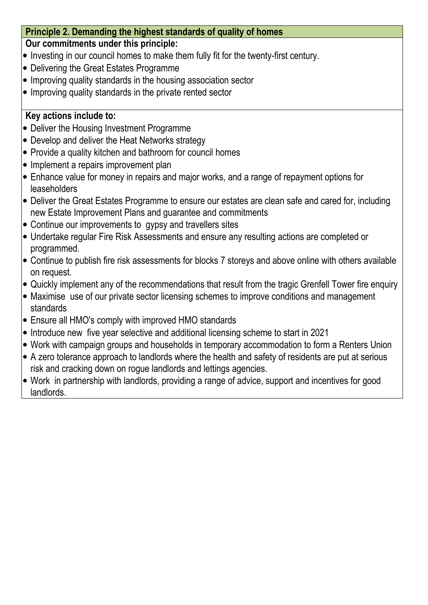### Principle 2. Demanding the highest standards of quality of homes

#### Our commitments under this principle:

- Investing in our council homes to make them fully fit for the twenty-first century.
- Delivering the Great Estates Programme
- Improving quality standards in the housing association sector
- Improving quality standards in the private rented sector

### Key actions include to:

- Deliver the Housing Investment Programme
- Develop and deliver the Heat Networks strategy
- Provide a quality kitchen and bathroom for council homes
- Implement a repairs improvement plan
- Enhance value for money in repairs and major works, and a range of repayment options for leaseholders
- Deliver the Great Estates Programme to ensure our estates are clean safe and cared for, including new Estate Improvement Plans and guarantee and commitments
- Continue our improvements to gypsy and travellers sites
- Undertake regular Fire Risk Assessments and ensure any resulting actions are completed or programmed.
- Continue to publish fire risk assessments for blocks 7 storeys and above online with others available on request.
- Quickly implement any of the recommendations that result from the tragic Grenfell Tower fire enquiry
- Maximise use of our private sector licensing schemes to improve conditions and management standards
- Ensure all HMO's comply with improved HMO standards
- Introduce new five year selective and additional licensing scheme to start in 2021
- Work with campaign groups and households in temporary accommodation to form a Renters Union
- A zero tolerance approach to landlords where the health and safety of residents are put at serious risk and cracking down on rogue landlords and lettings agencies.
- Work in partnership with landlords, providing a range of advice, support and incentives for good landlords. I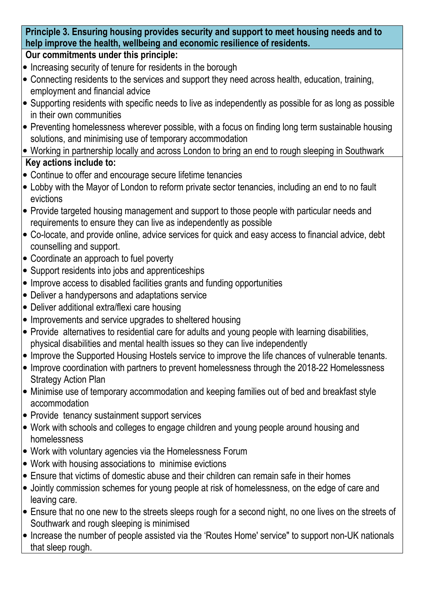## Principle 3. Ensuring housing provides security and support to meet housing needs and to help improve the health, wellbeing and economic resilience of residents.

## Our commitments under this principle:

- Increasing security of tenure for residents in the borough
- Connecting residents to the services and support they need across health, education, training, employment and financial advice
- Supporting residents with specific needs to live as independently as possible for as long as possible in their own communities
- Preventing homelessness wherever possible, with a focus on finding long term sustainable housing solutions, and minimising use of temporary accommodation

#### • Working in partnership locally and across London to bring an end to rough sleeping in Southwark Key actions include to:

- Continue to offer and encourage secure lifetime tenancies
- Lobby with the Mayor of London to reform private sector tenancies, including an end to no fault evictions
- Provide targeted housing management and support to those people with particular needs and requirements to ensure they can live as independently as possible
- Co-locate, and provide online, advice services for quick and easy access to financial advice, debt counselling and support.
- Coordinate an approach to fuel poverty
- Support residents into jobs and apprenticeships
- Improve access to disabled facilities grants and funding opportunities
- Deliver a handypersons and adaptations service
- Deliver additional extra/flexi care housing
- Improvements and service upgrades to sheltered housing
- Provide alternatives to residential care for adults and young people with learning disabilities, physical disabilities and mental health issues so they can live independently
- Improve the Supported Housing Hostels service to improve the life chances of vulnerable tenants.
- Improve coordination with partners to prevent homelessness through the 2018-22 Homelessness Strategy Action Plan
- Minimise use of temporary accommodation and keeping families out of bed and breakfast style accommodation
- Provide tenancy sustainment support services
- Work with schools and colleges to engage children and young people around housing and homelessness
- Work with voluntary agencies via the Homelessness Forum
- Work with housing associations to minimise evictions
- Ensure that victims of domestic abuse and their children can remain safe in their homes
- Jointly commission schemes for young people at risk of homelessness, on the edge of care and leaving care.
- Ensure that no one new to the streets sleeps rough for a second night, no one lives on the streets of Southwark and rough sleeping is minimised
- Increase the number of people assisted via the 'Routes Home' service" to support non-UK nationals that sleep rough.